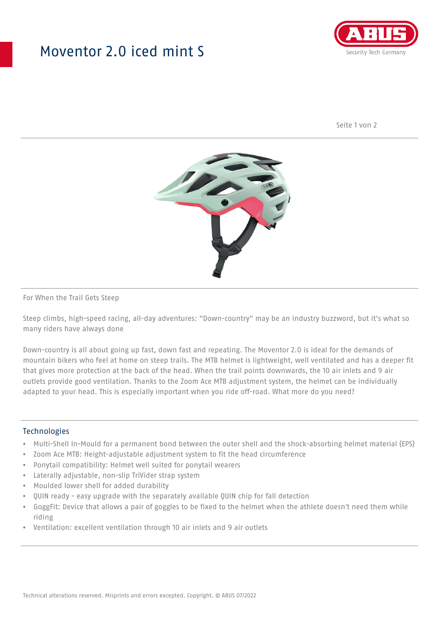## Moventor 2.0 iced mint S



Seite 1 von 2



#### For When the Trail Gets Steep

Steep climbs, high-speed racing, all-day adventures: "Down-country" may be an industry buzzword, but it's what so many riders have always done

Down-country is all about going up fast, down fast and repeating. The Moventor 2.0 is ideal for the demands of mountain bikers who feel at home on steep trails. The MTB helmet is lightweight, well ventilated and has a deeper fit that gives more protection at the back of the head. When the trail points downwards, the 10 air inlets and 9 air outlets provide good ventilation. Thanks to the Zoom Ace MTB adjustment system, the helmet can be individually adapted to your head. This is especially important when you ride off-road. What more do you need?

#### **Technologies**

- Multi-Shell In-Mould for a permanent bond between the outer shell and the shock-absorbing helmet material (EPS)
- Zoom Ace MTB: Height-adjustable adjustment system to fit the head circumference
- Ponytail compatibility: Helmet well suited for ponytail wearers
- Laterally adjustable, non-slip TriVider strap system
- Moulded lower shell for added durability
- QUIN ready easy upgrade with the separately available QUIN chip for fall detection
- GoggFit: Device that allows a pair of goggles to be fixed to the helmet when the athlete doesn't need them while riding
- Ventilation: excellent ventilation through 10 air inlets and 9 air outlets